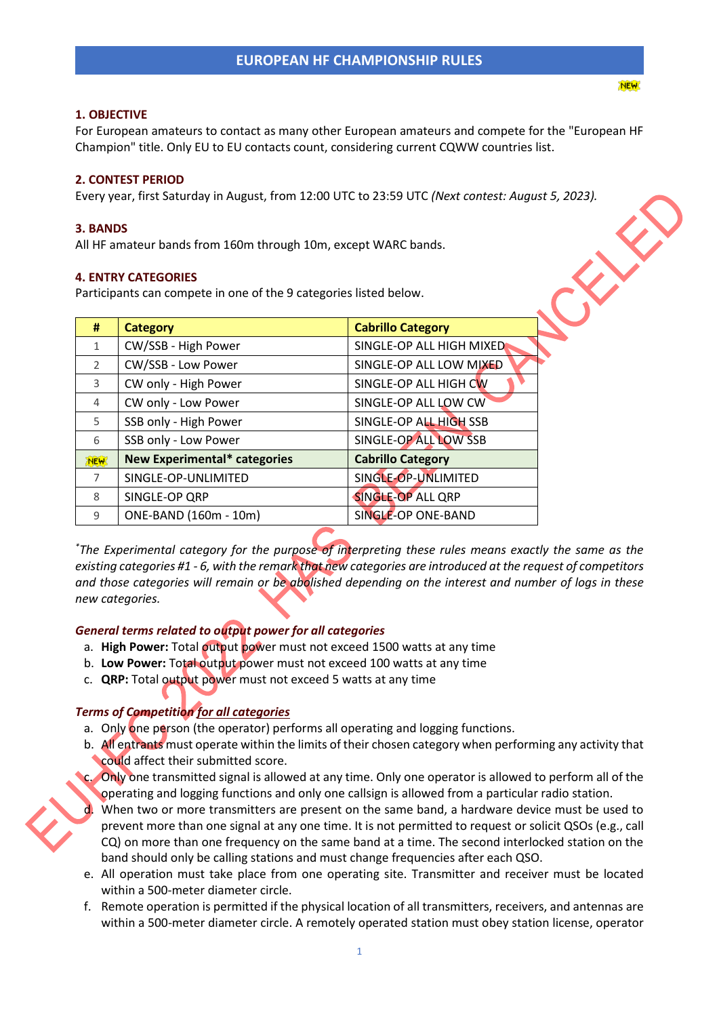#### **1. OBJECTIVE**

For European amateurs to contact as many other European amateurs and compete for the "European HF Champion" title. Only EU to EU contacts count, considering current CQWW countries list.

#### **2. CONTEST PERIOD**

Every year, first Saturday in August, from 12:00 UTC to 23:59 UTC *(Next contest: August 5, 2023).*

#### **3. BANDS**

All HF amateur bands from 160m through 10m, except WARC bands.

#### **4. ENTRY CATEGORIES**

Participants can compete in one of the 9 categories listed below.

| #              | <b>Category</b>                     | <b>Cabrillo Category</b> |
|----------------|-------------------------------------|--------------------------|
| $\mathbf{1}$   | CW/SSB - High Power                 | SINGLE-OP ALL HIGH MIXED |
| $\mathcal{P}$  | CW/SSB - Low Power                  | SINGLE-OP ALL LOW MIXED  |
| 3              | CW only - High Power                | SINGLE-OP ALL HIGH CW    |
| $\overline{4}$ | CW only - Low Power                 | SINGLE-OP ALL LOW CW     |
| 5              | SSB only - High Power               | SINGLE-OP ALL HIGH SSB   |
| 6              | SSB only - Low Power                | SINGLE-OP ALL LOW SSB    |
| <b>NEW</b>     | <b>New Experimental* categories</b> | <b>Cabrillo Category</b> |
| 7              | SINGLE-OP-UNLIMITED                 | SINGLE-OP-UNLIMITED      |
| 8              | SINGLE-OP QRP                       | <b>SINGLE-OP ALL QRP</b> |
| 9              | ONE-BAND (160m - 10m)               | SINGLE-OP ONE-BAND       |

*\*The Experimental category for the purpose of interpreting these rules means exactly the same as the existing categories #1 - 6, with the remark that new categories are introduced at the request of competitors and those categories will remain or be abolished depending on the interest and number of logs in these new categories.*

#### *General terms related to output power for all categories*

- a. **High Power:** Total output power must not exceed 1500 watts at any time
- b. **Low Power:** Total output power must not exceed 100 watts at any time
- c. **QRP:** Total output power must not exceed 5 watts at any time

# *Terms of Competition for all categories*

- a. Only one person (the operator) performs all operating and logging functions.
- b. All entrants must operate within the limits of their chosen category when performing any activity that could affect their submitted score.
- c. Only one transmitted signal is allowed at any time. Only one operator is allowed to perform all of the operating and logging functions and only one callsign is allowed from a particular radio station.
- d. When two or more transmitters are present on the same band, a hardware device must be used to prevent more than one signal at any one time. It is not permitted to request or solicit QSOs (e.g., call CQ) on more than one frequency on the same band at a time. The second interlocked station on the band should only be calling stations and must change frequencies after each QSO.
- e. All operation must take place from one operating site. Transmitter and receiver must be located within a 500-meter diameter circle.
- f. Remote operation is permitted if the physical location of all transmitters, receivers, and antennas are within a 500-meter diameter circle. A remotely operated station must obey station license, operator

FRANCIS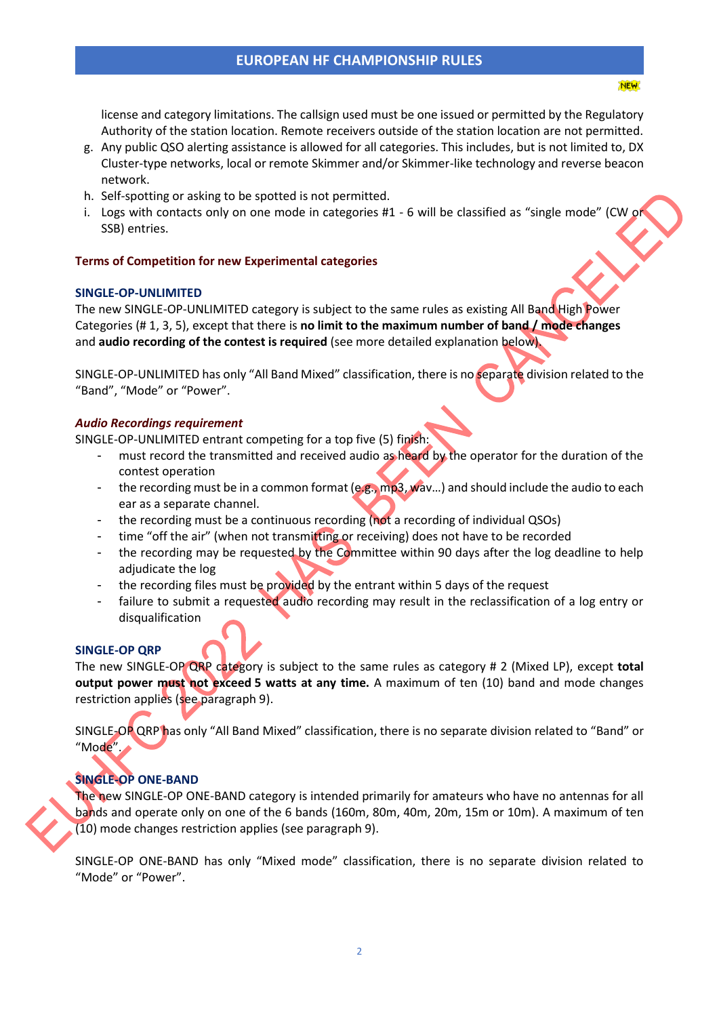license and category limitations. The callsign used must be one issued or permitted by the Regulatory Authority of the station location. Remote receivers outside of the station location are not permitted.

**NEW** 

- g. Any public QSO alerting assistance is allowed for all categories. This includes, but is not limited to, DX Cluster-type networks, local or remote Skimmer and/or Skimmer-like technology and reverse beacon network.
- h. Self-spotting or asking to be spotted is not permitted.
- i. Logs with contacts only on one mode in categories  $#1 6$  will be classified as "single mode" (CW or SSB) entries.

# **Terms of Competition for new Experimental categories**

## **SINGLE-OP-UNLIMITED**

The new SINGLE-OP-UNLIMITED category is subject to the same rules as existing All Band High Power Categories (# 1, 3, 5), except that there is **no limit to the maximum number of band / mode changes** and **audio recording of the contest is required** (see more detailed explanation below).

SINGLE-OP-UNLIMITED has only "All Band Mixed" classification, there is no separate division related to the "Band", "Mode" or "Power".

## *Audio Recordings requirement*

SINGLE-OP-UNLIMITED entrant competing for a top five (5) finish:

- must record the transmitted and received audio as heard by the operator for the duration of the contest operation
- the recording must be in a common format (e.g., mp3, wav...) and should include the audio to each ear as a separate channel.
- the recording must be a continuous recording (not a recording of individual QSOs)
- time "off the air" (when not transmitting or receiving) does not have to be recorded
- the recording may be requested by the Committee within 90 days after the log deadline to help adjudicate the log
- the recording files must be provided by the entrant within 5 days of the request
- failure to submit a requested audio recording may result in the reclassification of a log entry or disqualification

#### **SINGLE-OP QRP**

The new SINGLE-OP QRP category is subject to the same rules as category # 2 (Mixed LP), except **total output power must not exceed 5 watts at any time.** A maximum of ten (10) band and mode changes restriction applies (see paragraph 9).

SINGLE-OP QRP has only "All Band Mixed" classification, there is no separate division related to "Band" or "Mode".

# **SINGLE-OP ONE-BAND**

The new SINGLE-OP ONE-BAND category is intended primarily for amateurs who have no antennas for all bands and operate only on one of the 6 bands (160m, 80m, 40m, 20m, 15m or 10m). A maximum of ten  $(10)$  mode changes restriction applies (see paragraph 9).

SINGLE-OP ONE-BAND has only "Mixed mode" classification, there is no separate division related to "Mode" or "Power".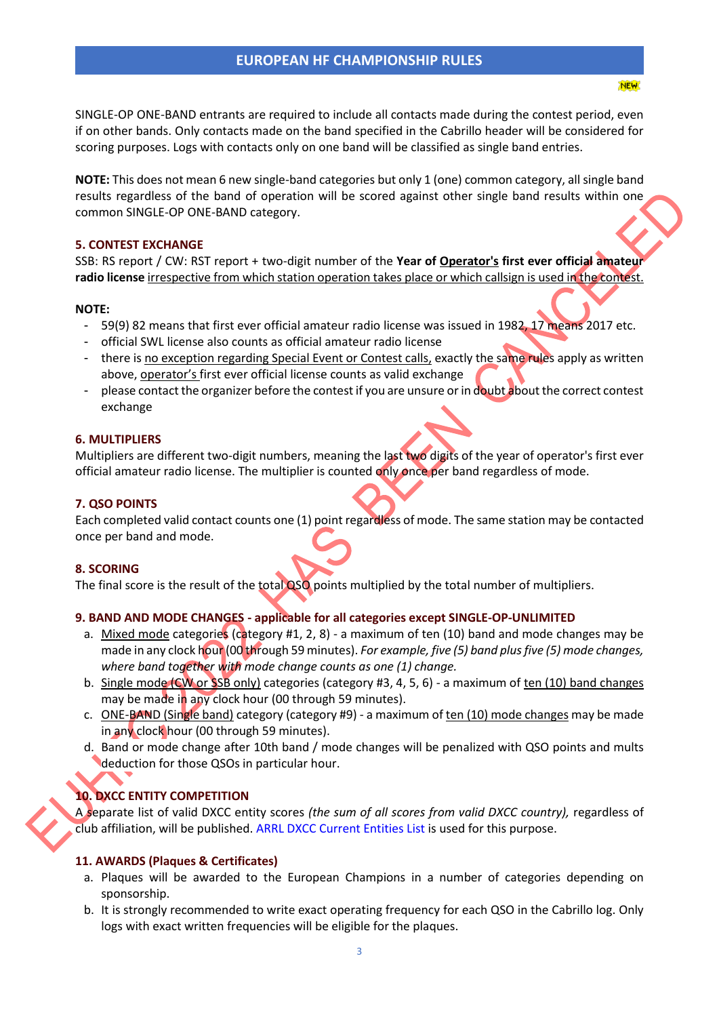**NEW** 

SINGLE-OP ONE-BAND entrants are required to include all contacts made during the contest period, even if on other bands. Only contacts made on the band specified in the Cabrillo header will be considered for scoring purposes. Logs with contacts only on one band will be classified as single band entries.

**NOTE:** This does not mean 6 new single-band categories but only 1 (one) common category, all single band results regardless of the band of operation will be scored against other single band results within one common SINGLE-OP ONE-BAND category.

## **5. CONTEST EXCHANGE**

SSB: RS report / CW: RST report + two-digit number of the **Year of Operator's first ever official amateur radio license** irrespective from which station operation takes place or which callsign is used in the contest.

## **NOTE:**

- 59(9) 82 means that first ever official amateur radio license was issued in 1982, 17 means 2017 etc.
- official SWL license also counts as official amateur radio license
- there is no exception regarding Special Event or Contest calls, exactly the same rules apply as written above, operator's first ever official license counts as valid exchange
- please contact the organizer before the contest if you are unsure or in doubt about the correct contest exchange

## **6. MULTIPLIERS**

Multipliers are different two-digit numbers, meaning the last two digits of the year of operator's first ever official amateur radio license. The multiplier is counted only once per band regardless of mode.

# **7. QSO POINTS**

Each completed valid contact counts one (1) point regardless of mode. The same station may be contacted once per band and mode.

# **8. SCORING**

The final score is the result of the total QSO points multiplied by the total number of multipliers.

# **9. BAND AND MODE CHANGES - applicable for all categories except SINGLE-OP-UNLIMITED**

- a. Mixed mode categories (category #1, 2, 8) a maximum of ten (10) band and mode changes may be made in any clock hour (00 through 59 minutes). *For example, five (5) band plus five (5) mode changes, where band together with mode change counts as one (1) change.*
- b. Single mode (CW or SSB only) categories (category #3, 4, 5, 6) a maximum of ten (10) band changes may be made in any clock hour (00 through 59 minutes).
- c. ONE-BAND (Single band) category (category #9) a maximum of ten (10) mode changes may be made in any clock hour (00 through 59 minutes).
- d. Band or mode change after 10th band / mode changes will be penalized with QSO points and mults deduction for those QSOs in particular hour.

# **10. DXCC ENTITY COMPETITION**

A separate list of valid DXCC entity scores *(the sum of all scores from valid DXCC country),* regardless of club affiliation, will be published. [ARRL DXCC Current Entities List](http://www.arrl.org/files/file/DXCC/2021_DXCC_Current.pdf) is used for this purpose.

# **11. AWARDS (Plaques & Certificates)**

- a. Plaques will be awarded to the European Champions in a number of categories depending on sponsorship.
- b. It is strongly recommended to write exact operating frequency for each QSO in the Cabrillo log. Only logs with exact written frequencies will be eligible for the plaques.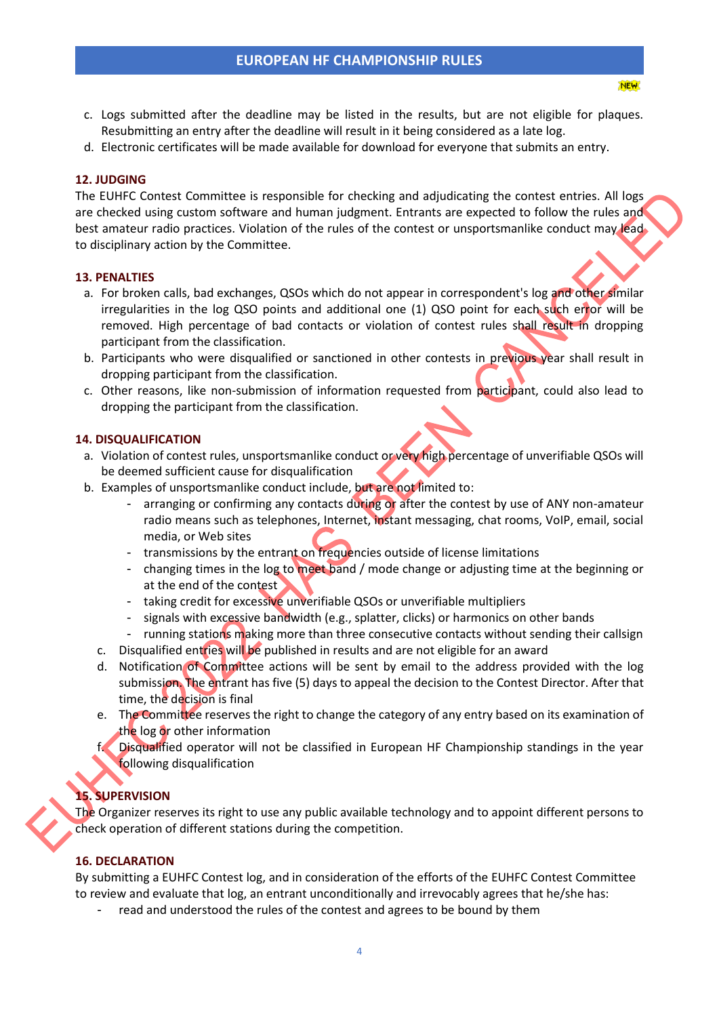c. Logs submitted after the deadline may be listed in the results, but are not eligible for plaques. Resubmitting an entry after the deadline will result in it being considered as a late log.

**NEW** 

d. Electronic certificates will be made available for download for everyone that submits an entry.

#### **12. JUDGING**

The EUHFC Contest Committee is responsible for checking and adjudicating the contest entries. All logs are checked using custom software and human judgment. Entrants are expected to follow the rules and best amateur radio practices. Violation of the rules of the contest or unsportsmanlike conduct may lead to disciplinary action by the Committee.

#### **13. PENALTIES**

- a. For broken calls, bad exchanges, QSOs which do not appear in correspondent's log and other similar irregularities in the log QSO points and additional one (1) QSO point for each such error will be removed. High percentage of bad contacts or violation of contest rules shall result in dropping participant from the classification.
- b. Participants who were disqualified or sanctioned in other contests in previous year shall result in dropping participant from the classification.
- c. Other reasons, like non-submission of information requested from participant, could also lead to dropping the participant from the classification.

## **14. DISQUALIFICATION**

- a. Violation of contest rules, unsportsmanlike conduct or very high percentage of unverifiable QSOs will be deemed sufficient cause for disqualification
- b. Examples of unsportsmanlike conduct include, but are not limited to:
	- arranging or confirming any contacts during or after the contest by use of ANY non-amateur radio means such as telephones, Internet, instant messaging, chat rooms, VoIP, email, social media, or Web sites
	- transmissions by the entrant on frequencies outside of license limitations
	- changing times in the log to meet band / mode change or adjusting time at the beginning or at the end of the contest
	- taking credit for excessive unverifiable QSOs or unverifiable multipliers
	- signals with excessive bandwidth (e.g., splatter, clicks) or harmonics on other bands
	- running stations making more than three consecutive contacts without sending their callsign
	- c. Disqualified entries will be published in results and are not eligible for an award
	- d. Notification of Committee actions will be sent by email to the address provided with the log submission. The entrant has five (5) days to appeal the decision to the Contest Director. After that time, the decision is final
	- e. The Committee reserves the right to change the category of any entry based on its examination of the log or other information
	- f. Disqualified operator will not be classified in European HF Championship standings in the year following disqualification

# **15. SUPERVISION**

The Organizer reserves its right to use any public available technology and to appoint different persons to check operation of different stations during the competition.

# **16. DECLARATION**

By submitting a EUHFC Contest log, and in consideration of the efforts of the EUHFC Contest Committee to review and evaluate that log, an entrant unconditionally and irrevocably agrees that he/she has:

read and understood the rules of the contest and agrees to be bound by them